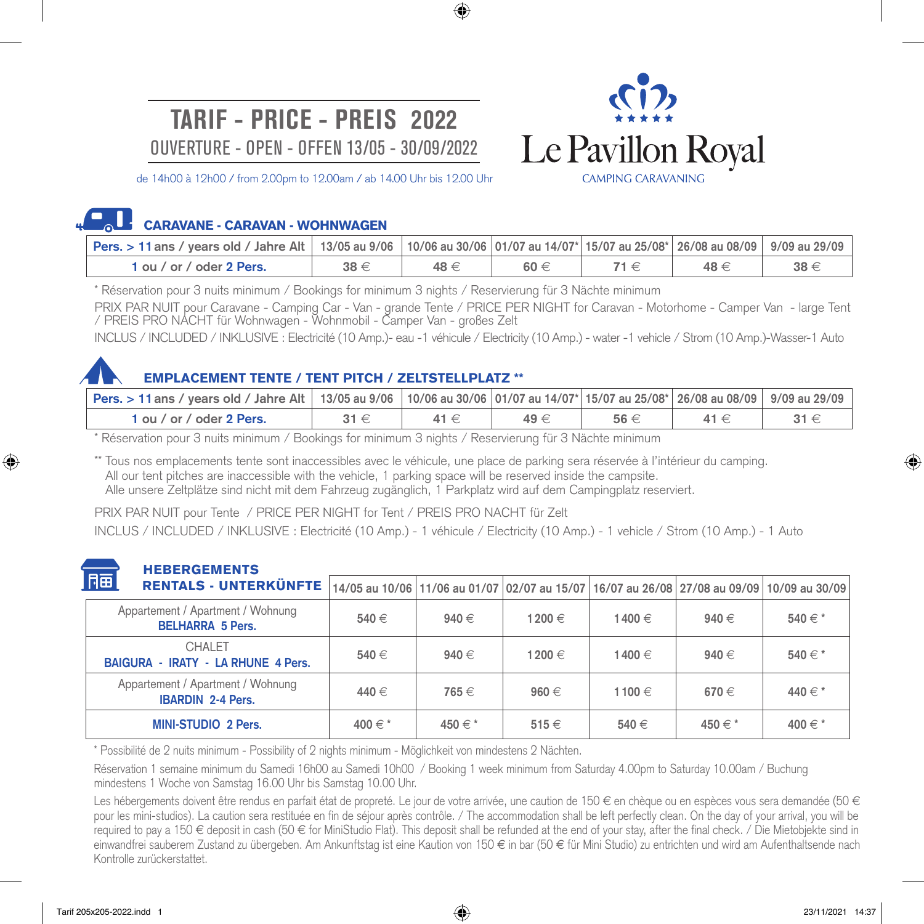## **TARIF - PRICE - PREIS 2022** OUVERTURE - OPEN - OFFEN 13/05 - 30/09/2022



de 14h00 à 12h00 / from 2.00pm to 12.00am / ab 14.00 Uhr bis 12.00 Uhr

#### О. II. CARAVANE - CARAVAN - WOHNWAGEN

| <b>│Pers. &gt; 11</b> ans / years old / Jahre Alt │ 13/05 au 9/06 │10/06 au 30/06 │01/07 au 14/07*│15/07 au 25/08*│ 26/08 au 08/09│ 9/09 au 29/09 |          |          |          |          |          |
|---------------------------------------------------------------------------------------------------------------------------------------------------|----------|----------|----------|----------|----------|
| 1 ou / or / oder 2 Pers.                                                                                                                          | $38 \in$ | $48 \in$ | $60 \in$ | $48 \in$ | $38 \in$ |

⊕

\* Réservation pour 3 nuits minimum / Bookings for minimum 3 nights / Reservierung für 3 Nächte minimum

PRIX PAR NUIT pour Caravane - Camping Car - Van - grande Tente / PRICE PER NIGHT for Caravan - Motorhome - Camper Van - large Tent / PREIS PRO NACHT für Wohnwagen - Wohnmobil - Camper Van - großes Zelt

INCLUS / INCLUDED / INKLUSIVE : Electricité (10 Amp.)- eau -1 véhicule / Electricity (10 Amp.) - water -1 vehicle / Strom (10 Amp.)-Wasser-1 Auto



⊕

### EMPLACEMENT TENTE / TENT PITCH / ZELTSTELLPLATZ \*\*

| Pers. > 11 ans / vears old / Jahre Alt   13/05 au 9/06   10/06 au 30/06   01/07 au 14/07   15/07 au 25/08   26/08 au 08/09   9/09 au 29/09 |          |          |          |          |  |
|--------------------------------------------------------------------------------------------------------------------------------------------|----------|----------|----------|----------|--|
| 1 ou / or / oder 2 Pers.                                                                                                                   | $31 \in$ | $49 \in$ | $56 \in$ | $41 \in$ |  |

\* Réservation pour 3 nuits minimum / Bookings for minimum 3 nights / Reservierung für 3 Nächte minimum

\*\* Tous nos emplacements tente sont inaccessibles avec le véhicule, une place de parking sera réservée à l'intérieur du camping. All our tent pitches are inaccessible with the vehicle, 1 parking space will be reserved inside the campsite. Alle unsere Zeltplätze sind nicht mit dem Fahrzeug zugänglich, 1 Parkplatz wird auf dem Campingplatz reserviert.

PRIX PAR NUIT pour Tente / PRICE PER NIGHT for Tent / PREIS PRO NACHT für Zelt

INCLUS / INCLUDED / INKLUSIVE : Electricité (10 Amp.) - 1 véhicule / Electricity (10 Amp.) - 1 vehicle / Strom (10 Amp.) - 1 Auto

### **HEBERGEMENTS**

| 同面<br><b>RENTALS - UNTERKÜNFTE</b>                            |         |           |           |        | 14/05 au 10/06 11/06 au 01/07 02/07 au 15/07 16/07 au 26/08 27/08 au 09/09 10/09 au 30/09 |         |
|---------------------------------------------------------------|---------|-----------|-----------|--------|-------------------------------------------------------------------------------------------|---------|
| Appartement / Apartment / Wohnung<br><b>BELHARRA 5 Pers.</b>  | 540 €   | $940 \in$ | 1200 €    | 1400 € | $940 \in$                                                                                 | 540 € * |
| CHAI FT<br>BAIGURA - IRATY - LA RHUNE 4 Pers.                 | 540 €   | $940 \in$ | 1200 €    | 1400 € | $940 \in$                                                                                 | 540 € * |
| Appartement / Apartment / Wohnung<br><b>IBARDIN 2-4 Pers.</b> | 440 €   | 765 €     | $960 \in$ | 1100 € | $670 \in$                                                                                 | 440 € * |
| <b>MINI-STUDIO 2 Pers.</b>                                    | 400 € * | 450 € *   | $515 \in$ | 540 €  | 450 $\in$ *                                                                               | 400 € * |

\* Possibilité de 2 nuits minimum - Possibility of 2 nights minimum - Möglichkeit von mindestens 2 Nächten.

Réservation 1 semaine minimum du Samedi 16h00 au Samedi 10h00 / Booking 1 week minimum from Saturday 4.00pm to Saturday 10.00am / Buchung mindestens 1 Woche von Samstag 16.00 Uhr bis Samstag 10.00 Uhr.

Les hébergements doivent être rendus en parfait état de propreté. Le jour de votre arrivée, une caution de 150 € en chèque ou en espèces vous sera demandée (50 € pour les mini-studios). La caution sera restituée en fin de séjour après contrôle. / The accommodation shall be left perfectly clean. On the day of your arrival, you will be required to pay a 150 € deposit in cash (50 € for MiniStudio Flat). This deposit shall be refunded at the end of your stay, after the final check. / Die Mietobjekte sind in einwandfrei sauberem Zustand zu übergeben. Am Ankunftstag ist eine Kaution von 150 € in bar (50 € für Mini Studio) zu entrichten und wird am Aufenthaltsende nach Kontrolle zurückerstattet.

⊕